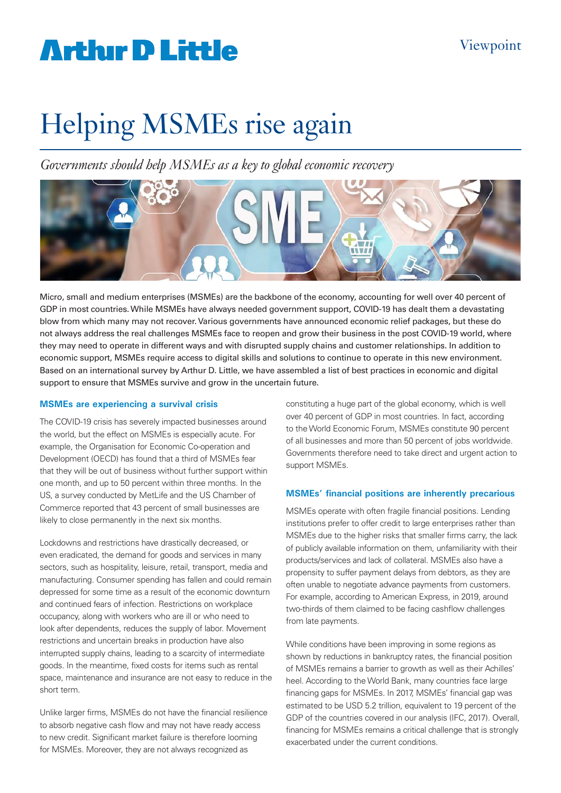## **Arthur D Little**

# Helping MSMEs rise again

*Governments should help MSMEs as a key to global economic recovery* 



Micro, small and medium enterprises (MSMEs) are the backbone of the economy, accounting for well over 40 percent of GDP in most countries. While MSMEs have always needed government support, COVID-19 has dealt them a devastating blow from which many may not recover. Various governments have announced economic relief packages, but these do not always address the real challenges MSMEs face to reopen and grow their business in the post COVID-19 world, where they may need to operate in different ways and with disrupted supply chains and customer relationships. In addition to economic support, MSMEs require access to digital skills and solutions to continue to operate in this new environment. Based on an international survey by Arthur D. Little, we have assembled a list of best practices in economic and digital support to ensure that MSMEs survive and grow in the uncertain future.

### **MSMEs are experiencing a survival crisis**

The COVID-19 crisis has severely impacted businesses around the world, but the effect on MSMEs is especially acute. For example, the Organisation for Economic Co-operation and Development (OECD) has found that a third of MSMEs fear that they will be out of business without further support within one month, and up to 50 percent within three months. In the US, a survey conducted by MetLife and the US Chamber of Commerce reported that 43 percent of small businesses are likely to close permanently in the next six months.

Lockdowns and restrictions have drastically decreased, or even eradicated, the demand for goods and services in many sectors, such as hospitality, leisure, retail, transport, media and manufacturing. Consumer spending has fallen and could remain depressed for some time as a result of the economic downturn and continued fears of infection. Restrictions on workplace occupancy, along with workers who are ill or who need to look after dependents, reduces the supply of labor. Movement restrictions and uncertain breaks in production have also interrupted supply chains, leading to a scarcity of intermediate goods. In the meantime, fixed costs for items such as rental space, maintenance and insurance are not easy to reduce in the short term.

Unlike larger firms, MSMEs do not have the financial resilience to absorb negative cash flow and may not have ready access to new credit. Significant market failure is therefore looming for MSMEs. Moreover, they are not always recognized as

constituting a huge part of the global economy, which is well over 40 percent of GDP in most countries. In fact, according to the World Economic Forum, MSMEs constitute 90 percent of all businesses and more than 50 percent of jobs worldwide. Governments therefore need to take direct and urgent action to support MSMEs.

### **MSMEs' financial positions are inherently precarious**

MSMEs operate with often fragile financial positions. Lending institutions prefer to offer credit to large enterprises rather than MSMEs due to the higher risks that smaller firms carry, the lack of publicly available information on them, unfamiliarity with their products/services and lack of collateral. MSMEs also have a propensity to suffer payment delays from debtors, as they are often unable to negotiate advance payments from customers. For example, according to American Express, in 2019, around two-thirds of them claimed to be facing cashflow challenges from late payments.

While conditions have been improving in some regions as shown by reductions in bankruptcy rates, the financial position of MSMEs remains a barrier to growth as well as their Achilles' heel. According to the World Bank, many countries face large financing gaps for MSMEs. In 2017, MSMEs' financial gap was estimated to be USD 5.2 trillion, equivalent to 19 percent of the GDP of the countries covered in our analysis (IFC, 2017). Overall, financing for MSMEs remains a critical challenge that is strongly exacerbated under the current conditions.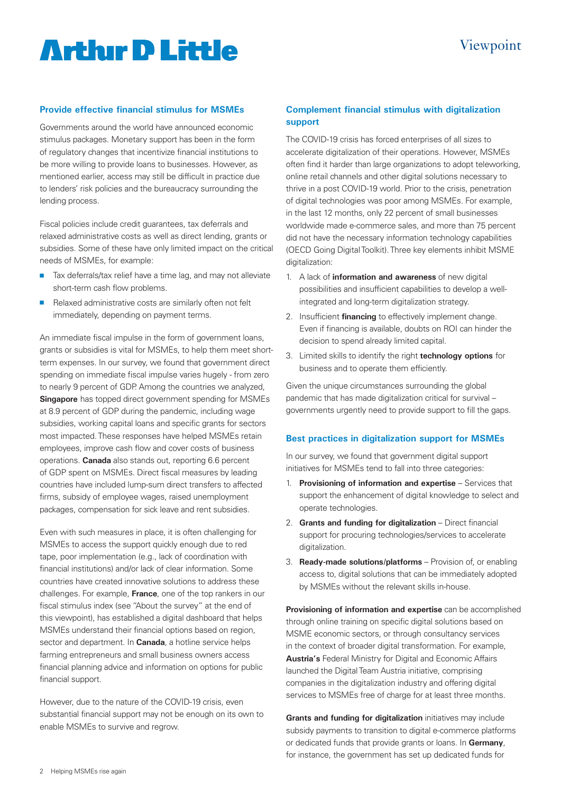## **Artlur D Little**

### Viewpoint

#### **Provide effective financial stimulus for MSMEs**

Governments around the world have announced economic stimulus packages. Monetary support has been in the form of regulatory changes that incentivize financial institutions to be more willing to provide loans to businesses. However, as mentioned earlier, access may still be difficult in practice due to lenders' risk policies and the bureaucracy surrounding the lending process.

Fiscal policies include credit guarantees, tax deferrals and relaxed administrative costs as well as direct lending, grants or subsidies. Some of these have only limited impact on the critical needs of MSMEs, for example:

- Tax deferrals/tax relief have a time lag, and may not alleviate short-term cash flow problems.
- $\blacksquare$  Relaxed administrative costs are similarly often not felt immediately, depending on payment terms.

An immediate fiscal impulse in the form of government loans, grants or subsidies is vital for MSMEs, to help them meet shortterm expenses. In our survey, we found that government direct spending on immediate fiscal impulse varies hugely - from zero to nearly 9 percent of GDP. Among the countries we analyzed, **Singapore** has topped direct government spending for MSMEs at 8.9 percent of GDP during the pandemic, including wage subsidies, working capital loans and specific grants for sectors most impacted. These responses have helped MSMEs retain employees, improve cash flow and cover costs of business operations. **Canada** also stands out, reporting 6.6 percent of GDP spent on MSMEs. Direct fiscal measures by leading countries have included lump-sum direct transfers to affected firms, subsidy of employee wages, raised unemployment packages, compensation for sick leave and rent subsidies.

Even with such measures in place, it is often challenging for MSMEs to access the support quickly enough due to red tape, poor implementation (e.g., lack of coordination with financial institutions) and/or lack of clear information. Some countries have created innovative solutions to address these challenges. For example, **France**, one of the top rankers in our fiscal stimulus index (see "About the survey" at the end of this viewpoint), has established a digital dashboard that helps MSMEs understand their financial options based on region, sector and department. In **Canada**, a hotline service helps farming entrepreneurs and small business owners access financial planning advice and information on options for public financial support.

However, due to the nature of the COVID-19 crisis, even substantial financial support may not be enough on its own to enable MSMEs to survive and regrow.

### **Complement financial stimulus with digitalization support**

The COVID-19 crisis has forced enterprises of all sizes to accelerate digitalization of their operations. However, MSMEs often find it harder than large organizations to adopt teleworking, online retail channels and other digital solutions necessary to thrive in a post COVID-19 world. Prior to the crisis, penetration of digital technologies was poor among MSMEs. For example, in the last 12 months, only 22 percent of small businesses worldwide made e-commerce sales, and more than 75 percent did not have the necessary information technology capabilities (OECD Going Digital Toolkit). Three key elements inhibit MSME digitalization:

- 1. A lack of **information and awareness** of new digital possibilities and insufficient capabilities to develop a wellintegrated and long-term digitalization strategy.
- 2. Insufficient **financing** to effectively implement change. Even if financing is available, doubts on ROI can hinder the decision to spend already limited capital.
- 3. Limited skills to identify the right **technology options** for business and to operate them efficiently.

Given the unique circumstances surrounding the global pandemic that has made digitalization critical for survival – governments urgently need to provide support to fill the gaps.

#### **Best practices in digitalization support for MSMEs**

In our survey, we found that government digital support initiatives for MSMEs tend to fall into three categories:

- 1. **Provisioning of information and expertise**  Services that support the enhancement of digital knowledge to select and operate technologies.
- 2. **Grants and funding for digitalization** Direct financial support for procuring technologies/services to accelerate digitalization.
- 3. **Ready-made solutions/platforms** Provision of, or enabling access to, digital solutions that can be immediately adopted by MSMEs without the relevant skills in-house.

**Provisioning of information and expertise** can be accomplished through online training on specific digital solutions based on MSME economic sectors, or through consultancy services in the context of broader digital transformation. For example, **Austria's** Federal Ministry for Digital and Economic Affairs launched the Digital Team Austria initiative, comprising companies in the digitalization industry and offering digital services to MSMEs free of charge for at least three months.

**Grants and funding for digitalization** initiatives may include subsidy payments to transition to digital e-commerce platforms or dedicated funds that provide grants or loans. In **Germany**, for instance, the government has set up dedicated funds for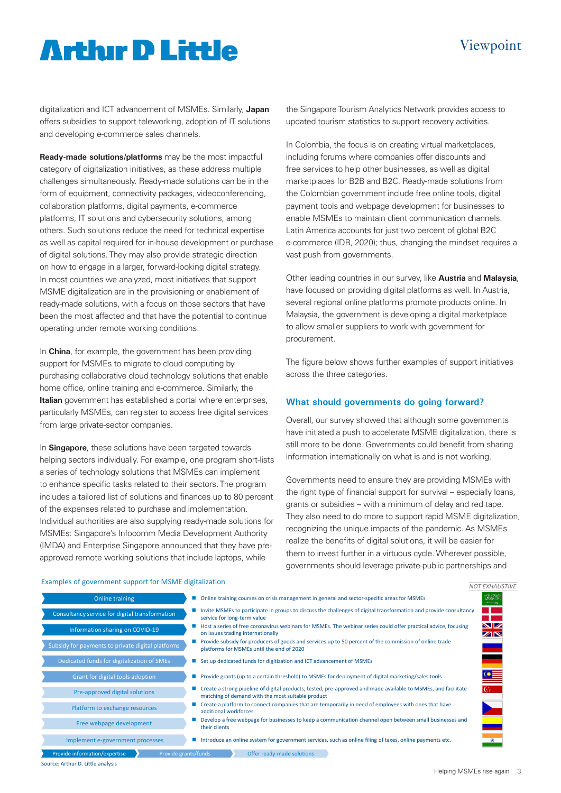### Viewpoint

### **Arthır D Little**

digitalization and ICT advancement of MSMEs. Similarly, **Japan** offers subsidies to support teleworking, adoption of IT solutions and developing e-commerce sales channels.

**Ready-made solutions/platforms** may be the most impactful category of digitalization initiatives, as these address multiple challenges simultaneously. Ready-made solutions can be in the form of equipment, connectivity packages, videoconferencing, collaboration platforms, digital payments, e-commerce platforms, IT solutions and cybersecurity solutions, among others. Such solutions reduce the need for technical expertise as well as capital required for in-house development or purchase of digital solutions. They may also provide strategic direction on how to engage in a larger, forward-looking digital strategy. In most countries we analyzed, most initiatives that support MSME digitalization are in the provisioning or enablement of ready-made solutions, with a focus on those sectors that have been the most affected and that have the potential to continue operating under remote working conditions.

In **China**, for example, the government has been providing support for MSMEs to migrate to cloud computing by purchasing collaborative cloud technology solutions that enable home office, online training and e-commerce. Similarly, the **Italian** government has established a portal where enterprises, particularly MSMEs, can register to access free digital services from large private-sector companies.

In **Singapore**, these solutions have been targeted towards helping sectors individually. For example, one program short-lists a series of technology solutions that MSMEs can implement to enhance specific tasks related to their sectors. The program includes a tailored list of solutions and finances up to 80 percent of the expenses related to purchase and implementation. Individual authorities are also supplying ready-made solutions for MSMEs: Singapore's Infocomm Media Development Authority (IMDA) and Enterprise Singapore announced that they have preapproved remote working solutions that include laptops, while

the Singapore Tourism Analytics Network provides access to updated tourism statistics to support recovery activities.

In Colombia, the focus is on creating virtual marketplaces, including forums where companies offer discounts and free services to help other businesses, as well as digital marketplaces for B2B and B2C. Ready-made solutions from the Colombian government include free online tools, digital payment tools and webpage development for businesses to enable MSMEs to maintain client communication channels. Latin America accounts for just two percent of global B2C e-commerce (IDB, 2020); thus, changing the mindset requires a vast push from governments.

Other leading countries in our survey, like **Austria** and **Malaysia**, have focused on providing digital platforms as well. In Austria, several regional online platforms promote products online. In Malaysia, the government is developing a digital marketplace to allow smaller suppliers to work with government for procurement.

The figure below shows further examples of support initiatives across the three categories.

#### **What should governments do going forward?**

Overall, our survey showed that although some governments have initiated a push to accelerate MSME digitalization, there is still more to be done. Governments could benefit from sharing information internationally on what is and is not working.

Governments need to ensure they are providing MSMEs with the right type of financial support for survival – especially loans, grants or subsidies – with a minimum of delay and red tape. They also need to do more to support rapid MSME digitalization, recognizing the unique impacts of the pandemic. As MSMEs realize the benefits of digital solutions, it will be easier for them to invest further in a virtuous cycle. Wherever possible, governments should leverage private-public partnerships and

#### Examples of government support for MSME digitalization

| Online training                                       | • Online training courses on crisis management in general and sector-specific areas for MSMEs                                                                             | $\mathcal{L}(\mathcal{M})$ |
|-------------------------------------------------------|---------------------------------------------------------------------------------------------------------------------------------------------------------------------------|----------------------------|
| Consultancy service for digital transformation        | Invite MSMEs to participate in groups to discuss the challenges of digital transformation and provide consultancy<br>service for long-term value                          |                            |
| Information sharing on COVID-19                       | Host a series of free coronavirus webinars for MSMEs. The webinar series could offer practical advice, focusing<br>on issues trading internationally                      | NZ.<br>ZN                  |
| Subsidy for payments to private digital platforms     | <b>Provide subsidy for producers of goods and services up to 50 percent of the commission of online trade</b><br>platforms for MSMEs until the end of 2020                |                            |
| Dedicated funds for digitalization of SMEs            | Set up dedicated funds for digitization and ICT advancement of MSMEs                                                                                                      |                            |
| Grant for digital tools adoption                      | ■ Provide grants (up to a certain threshold) to MSMEs for deployment of digital marketing/sales tools                                                                     |                            |
| Pre-approved digital solutions                        | Create a strong pipeline of digital products, tested, pre-approved and made available to MSMEs, and facilitate<br>C.<br>matching of demand with the most suitable product |                            |
| Platform to exchange resources                        | Create a platform to connect companies that are temporarily in need of employees with ones that have<br>additional workforces                                             |                            |
| Free webpage development                              | Develop a free webpage for businesses to keep a communication channel open between small businesses and<br>their clients                                                  |                            |
| Implement e-government processes                      | Introduce an online system for government services, such as online filing of taxes, online payments etc.                                                                  | ۰                          |
| Provide information/expertise<br>Provide grants/funds | Offer ready-made solutions                                                                                                                                                |                            |

Source: Arthur D. Little analysis

*NOT EXHAUSTIVE*